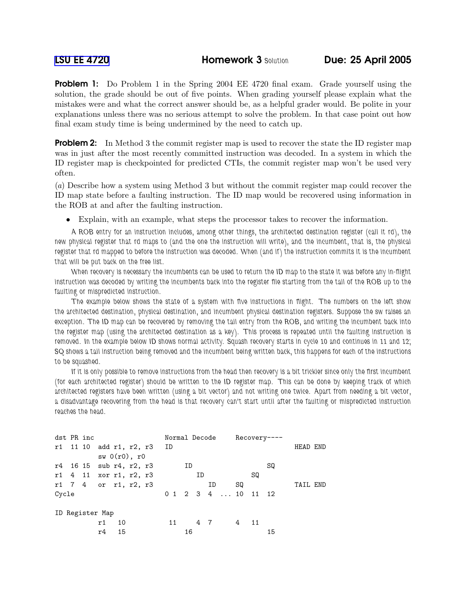**Problem 1:** Do Problem 1 in the Spring 2004 EE 4720 final exam. Grade yourself using the solution, the grade should be out of five points. When grading yourself please explain what the mistakes were and what the correct answer should be, as a helpful grader would. Be polite in your explanations unless there was no serious attempt to solve the problem. In that case point out how final exam study time is being undermined by the need to catch up.

**Problem 2:** In Method 3 the commit register map is used to recover the state the ID register map was in just after the most recently committed instruction was decoded. In a system in which the ID register map is checkpointed for predicted CTIs, the commit register map won't be used very often.

(a) Describe how a system using Method 3 but without the commit register map could recover the ID map state before a faulting instruction. The ID map would be recovered using information in the ROB at and after the faulting instruction.

• Explain, with an example, what steps the processor takes to recover the information.

A ROB entry for an instruction includes, among other things, the architected destination register (call it rd), the new physical register that rd maps to (and the one the instruction will write), and the incumbent, that is, the physical register that rd mapped to before the instruction was decoded. When (and if) the instruction commits it is the incumbent that will be put back on the free list.

When recovery is necessary the incumbents can be used to return the ID map to the state it was before any in-flight instruction was decoded by writing the incumbents back into the register file starting from the tail of the ROB up to the faulting or mispredicted instruction.

The example below shows the state of a system with five instructions in flight. The numbers on the left show the architected destination, physical destination, and incumbent physical destination registers. Suppose the sw raises an exception. The ID map can be recovered by removing the tail entry from the ROB, and writing the incumbent back into the register map (using the architected destination as a key). This process is repeated until the faulting instruction is removed. In the example below ID shows normal activity. Squash recovery starts in cycle 10 and continues in 11 and 12; SQ shows a tail instruction being removed and the incumbent being written back, this happens for each of the instructions to be squashed.

If it is only possible to remove instructions from the head then recovery is a bit trickier since only the first incumbent (for each architected register) should be written to the ID register map. This can be done by keeping track of which architected registers have been written (using a bit vector) and not writing one twice. Apart from needing a bit vector, a disadvantage recovering from the head is that recovery can't start until after the faulting or mispredicted instruction reaches the head.

| dst PR inc      |  |  |                         |               |  |                            |  | Normal Decode |    |    |    |  | $Recovery---$ |                     |    |          |  |
|-----------------|--|--|-------------------------|---------------|--|----------------------------|--|---------------|----|----|----|--|---------------|---------------------|----|----------|--|
|                 |  |  |                         |               |  | r1 11 10 add r1, r2, r3 ID |  |               |    |    |    |  |               |                     |    | HEAD END |  |
|                 |  |  |                         | sw(0(r0), r0) |  |                            |  |               |    |    |    |  |               |                     |    |          |  |
|                 |  |  | r4 16 15 sub r4, r2, r3 |               |  |                            |  |               | ID |    |    |  |               |                     | SQ |          |  |
|                 |  |  | r1 4 11 xor r1, r2, r3  |               |  |                            |  |               |    | ID |    |  |               | SQ                  |    |          |  |
|                 |  |  | r1 7 4 or r1, r2, r3    |               |  |                            |  |               |    |    | ΙD |  | SQ            |                     |    | TAIL END |  |
| Cycle           |  |  |                         |               |  |                            |  |               |    |    |    |  |               | 0 1 2 3 4  10 11 12 |    |          |  |
|                 |  |  |                         |               |  |                            |  |               |    |    |    |  |               |                     |    |          |  |
| ID Register Map |  |  |                         |               |  |                            |  |               |    |    |    |  |               |                     |    |          |  |
|                 |  |  | r1                      | 10            |  |                            |  | 11            |    | 47 |    |  | 4 11          |                     |    |          |  |
|                 |  |  | r4                      | 15            |  |                            |  |               | 16 |    |    |  |               |                     | 15 |          |  |